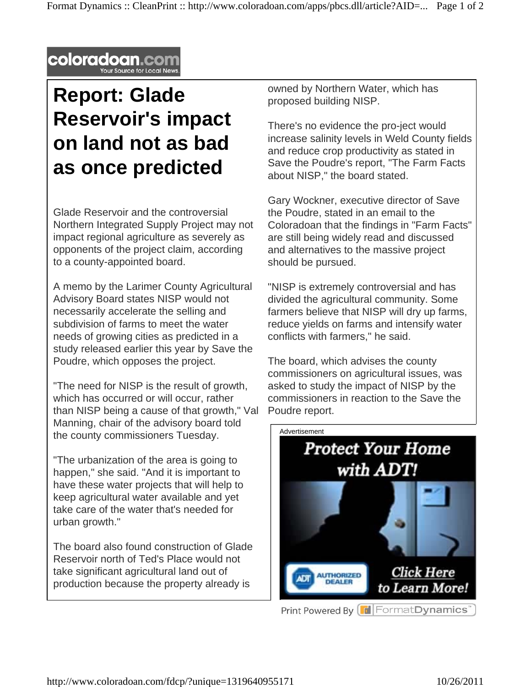

## **Report: Glade Reservoir's impact on land not as bad as once predicted**

Glade Reservoir and the controversial Northern Integrated Supply Project may not impact regional agriculture as severely as opponents of the project claim, according to a county-appointed board.

A memo by the Larimer County Agricultural Advisory Board states NISP would not necessarily accelerate the selling and subdivision of farms to meet the water needs of growing cities as predicted in a study released earlier this year by Save the Poudre, which opposes the project.

"The need for NISP is the result of growth, which has occurred or will occur, rather than NISP being a cause of that growth," Val Manning, chair of the advisory board told the county commissioners Tuesday.

"The urbanization of the area is going to happen," she said. "And it is important to have these water projects that will help to keep agricultural water available and yet take care of the water that's needed for urban growth."

The board also found construction of Glade Reservoir north of Ted's Place would not take significant agricultural land out of production because the property already is

owned by Northern Water, which has proposed building NISP.

There's no evidence the pro-ject would increase salinity levels in Weld County fields and reduce crop productivity as stated in Save the Poudre's report, "The Farm Facts about NISP," the board stated.

Gary Wockner, executive director of Save the Poudre, stated in an email to the Coloradoan that the findings in "Farm Facts" are still being widely read and discussed and alternatives to the massive project should be pursued.

"NISP is extremely controversial and has divided the agricultural community. Some farmers believe that NISP will dry up farms, reduce yields on farms and intensify water conflicts with farmers," he said.

The board, which advises the county commissioners on agricultural issues, was asked to study the impact of NISP by the commissioners in reaction to the Save the Poudre report.